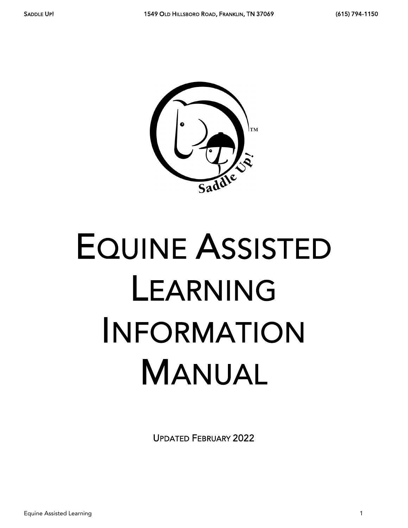

# EQUINE ASSISTED LEARNING INFORMATION MANUAL

UPDATED FEBRUARY 2022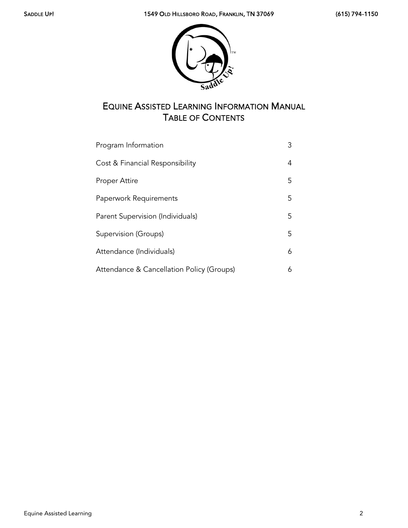

## EQUINE ASSISTED LEARNING INFORMATION MANUAL TABLE OF CONTENTS

| Program Information                       | 3 |
|-------------------------------------------|---|
| Cost & Financial Responsibility           | 4 |
| Proper Attire                             | 5 |
| Paperwork Requirements                    | 5 |
| Parent Supervision (Individuals)          | 5 |
| <b>Supervision (Groups)</b>               | 5 |
| Attendance (Individuals)                  | 6 |
| Attendance & Cancellation Policy (Groups) | 6 |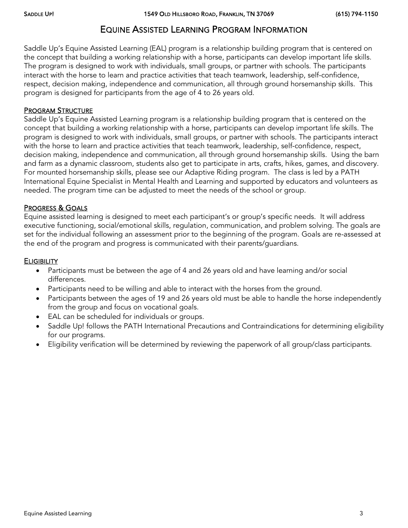## EQUINE ASSISTED LEARNING PROGRAM INFORMATION

Saddle Up's Equine Assisted Learning (EAL) program is a relationship building program that is centered on the concept that building a working relationship with a horse, participants can develop important life skills. The program is designed to work with individuals, small groups, or partner with schools. The participants interact with the horse to learn and practice activities that teach teamwork, leadership, self-confidence, respect, decision making, independence and communication, all through ground horsemanship skills. This program is designed for participants from the age of 4 to 26 years old.

#### PROGRAM STRUCTURE

Saddle Up's Equine Assisted Learning program is a relationship building program that is centered on the concept that building a working relationship with a horse, participants can develop important life skills. The program is designed to work with individuals, small groups, or partner with schools. The participants interact with the horse to learn and practice activities that teach teamwork, leadership, self-confidence, respect, decision making, independence and communication, all through ground horsemanship skills. Using the barn and farm as a dynamic classroom, students also get to participate in arts, crafts, hikes, games, and discovery. For mounted horsemanship skills, please see our Adaptive Riding program. The class is led by a PATH International Equine Specialist in Mental Health and Learning and supported by educators and volunteers as needed. The program time can be adjusted to meet the needs of the school or group.

#### **PROGRESS & GOALS**

Equine assisted learning is designed to meet each participant's or group's specific needs. It will address executive functioning, social/emotional skills, regulation, communication, and problem solving. The goals are set for the individual following an assessment prior to the beginning of the program. Goals are re-assessed at the end of the program and progress is communicated with their parents/guardians.

#### **ELIGIBILITY**

- Participants must be between the age of 4 and 26 years old and have learning and/or social differences.
- Participants need to be willing and able to interact with the horses from the ground.
- Participants between the ages of 19 and 26 years old must be able to handle the horse independently from the group and focus on vocational goals.
- EAL can be scheduled for individuals or groups.
- Saddle Up! follows the PATH International Precautions and Contraindications for determining eligibility for our programs.
- Eligibility verification will be determined by reviewing the paperwork of all group/class participants.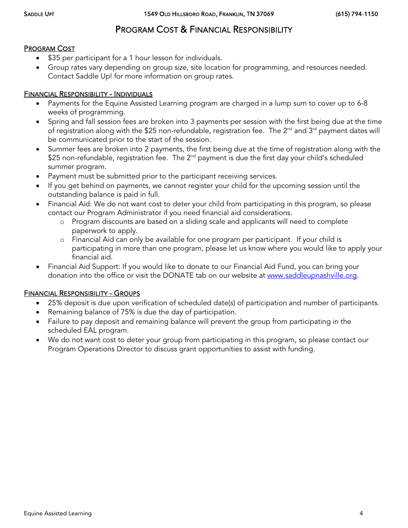## PROGRAM COST & FINANCIAL RESPONSIBILITY

#### PROGRAM COST

- \$35 per participant for a 1 hour lesson for individuals.
- Group rates vary depending on group size, site location for programming, and resources needed. Contact Saddle Up! for more information on group rates.

#### FINANCIAL RESPONSIBILITY - INDIVIDUALS

- Payments for the Equine Assisted Learning program are charged in a lump sum to cover up to 6-8 weeks of programming.
- Spring and fall session fees are broken into 3 payments per session with the first being due at the time of registration along with the \$25 non-refundable, registration fee. The  $2^{nd}$  and  $3^{rd}$  payment dates will be communicated prior to the start of the session.
- Summer fees are broken into 2 payments, the first being due at the time of registration along with the \$25 non-refundable, registration fee. The 2<sup>nd</sup> payment is due the first day your child's scheduled summer program.
- Payment must be submitted prior to the participant receiving services.
- If you get behind on payments, we cannot register your child for the upcoming session until the outstanding balance is paid in full.
- Financial Aid: We do not want cost to deter your child from participating in this program, so please contact our Program Administrator if you need financial aid considerations.
	- o Program discounts are based on a sliding scale and applicants will need to complete paperwork to apply.
	- o Financial Aid can only be available for one program per participant. If your child is participating in more than one program, please let us know where you would like to apply your financial aid.
- Financial Aid Support: If you would like to donate to our Financial Aid Fund, you can bring your donation into the office or visit the DONATE tab on our website at [www.saddleupnashville.org.](http://www.saddleupnashville.org/)

#### **FINANCIAL RESPONSIBILITY - GROUPS**

- 25% deposit is due upon verification of scheduled date(s) of participation and number of participants.
- Remaining balance of 75% is due the day of participation.
- Failure to pay deposit and remaining balance will prevent the group from participating in the scheduled EAL program.
- We do not want cost to deter your group from participating in this program, so please contact our Program Operations Director to discuss grant opportunities to assist with funding.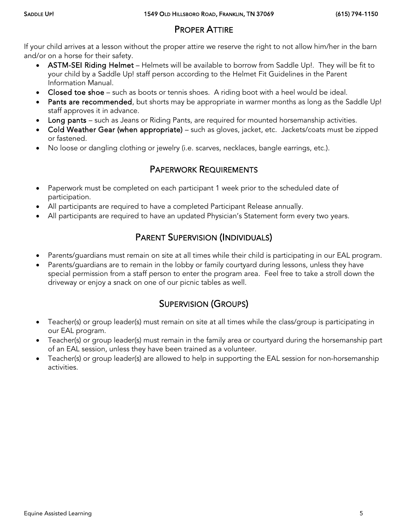## PROPER ATTIRE

If your child arrives at a lesson without the proper attire we reserve the right to not allow him/her in the barn and/or on a horse for their safety.

- ASTM-SEI Riding Helmet Helmets will be available to borrow from Saddle Up!. They will be fit to your child by a Saddle Up! staff person according to the Helmet Fit Guidelines in the Parent Information Manual.
- Closed toe shoe such as boots or tennis shoes. A riding boot with a heel would be ideal.
- Pants are recommended, but shorts may be appropriate in warmer months as long as the Saddle Up! staff approves it in advance.
- Long pants such as Jeans or Riding Pants, are required for mounted horsemanship activities.
- Cold Weather Gear (when appropriate) such as gloves, jacket, etc. Jackets/coats must be zipped or fastened.
- No loose or dangling clothing or jewelry (i.e. scarves, necklaces, bangle earrings, etc.).

### PAPERWORK REQUIREMENTS

- Paperwork must be completed on each participant 1 week prior to the scheduled date of participation.
- All participants are required to have a completed Participant Release annually.
- All participants are required to have an updated Physician's Statement form every two years.

## PARENT SUPERVISION (INDIVIDUALS)

- Parents/guardians must remain on site at all times while their child is participating in our EAL program.
- Parents/quardians are to remain in the lobby or family courtyard during lessons, unless they have special permission from a staff person to enter the program area. Feel free to take a stroll down the driveway or enjoy a snack on one of our picnic tables as well.

## SUPERVISION (GROUPS)

- Teacher(s) or group leader(s) must remain on site at all times while the class/group is participating in our EAL program.
- Teacher(s) or group leader(s) must remain in the family area or courtyard during the horsemanship part of an EAL session, unless they have been trained as a volunteer.
- Teacher(s) or group leader(s) are allowed to help in supporting the EAL session for non-horsemanship activities.